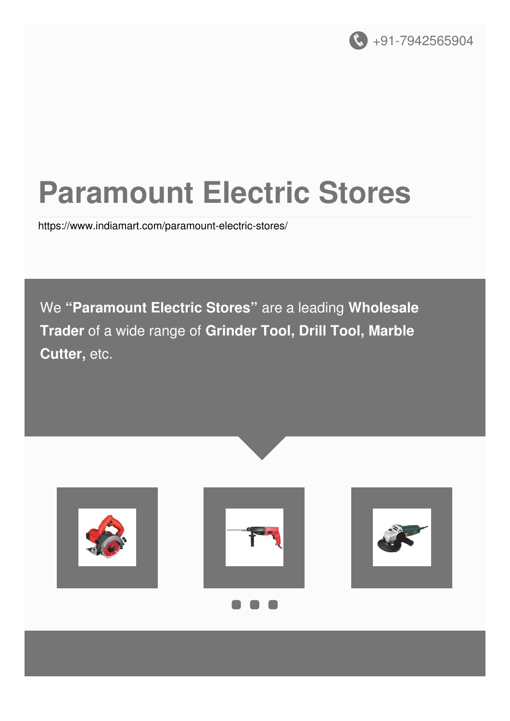

# **Paramount Electric Stores**

<https://www.indiamart.com/paramount-electric-stores/>

We **"Paramount Electric Stores"** are a leading **Wholesale Trader** of a wide range of **Grinder Tool, Drill Tool, Marble Cutter,** etc.

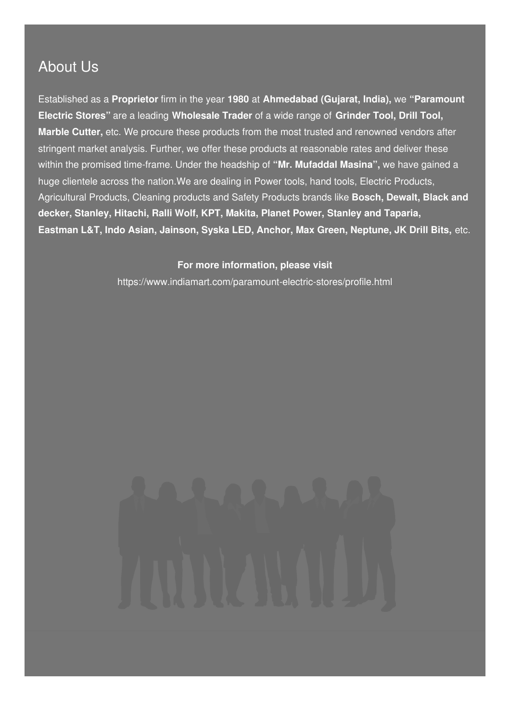# About Us

Established as a **Proprietor** firm in the year **1980** at **Ahmedabad (Gujarat, India),** we **"Paramount Electric Stores"** are a leading **Wholesale Trader** of a wide range of **Grinder Tool, Drill Tool, Marble Cutter,** etc. We procure these products from the most trusted and renowned vendors after stringent market analysis. Further, we offer these products at reasonable rates and deliver these within the promised time-frame. Under the headship of **"Mr. Mufaddal Masina",** we have gained a huge clientele across the nation.We are dealing in Power tools, hand tools, Electric Products, Agricultural Products, Cleaning products and Safety Products brands like **Bosch, Dewalt, Black and decker, Stanley, Hitachi, Ralli Wolf, KPT, Makita, Planet Power, Stanley and Taparia, Eastman L&T, Indo Asian, Jainson, Syska LED, Anchor, Max Green, Neptune, JK Drill Bits,** etc.

> **For more information, please visit** <https://www.indiamart.com/paramount-electric-stores/profile.html>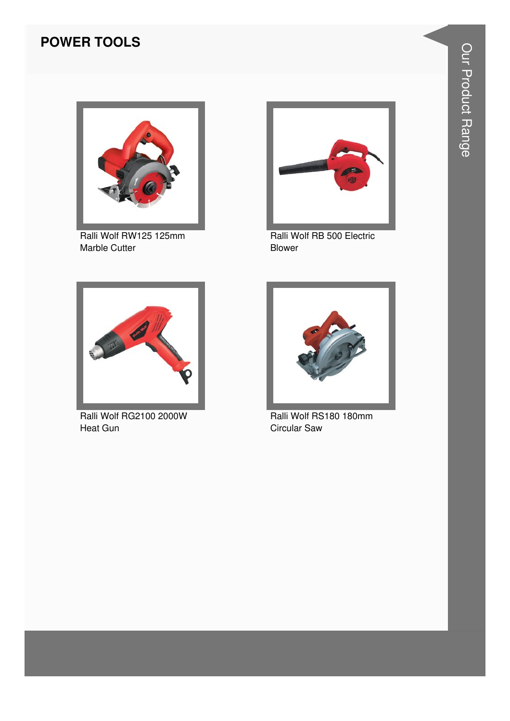#### **POWER TOOLS**



Ralli Wolf RW125 125mm Marble Cutter



Ralli Wolf RB 500 Electric Blower



Ralli Wolf RG2100 2000W Heat Gun



Ralli Wolf RS180 180mm Circular Saw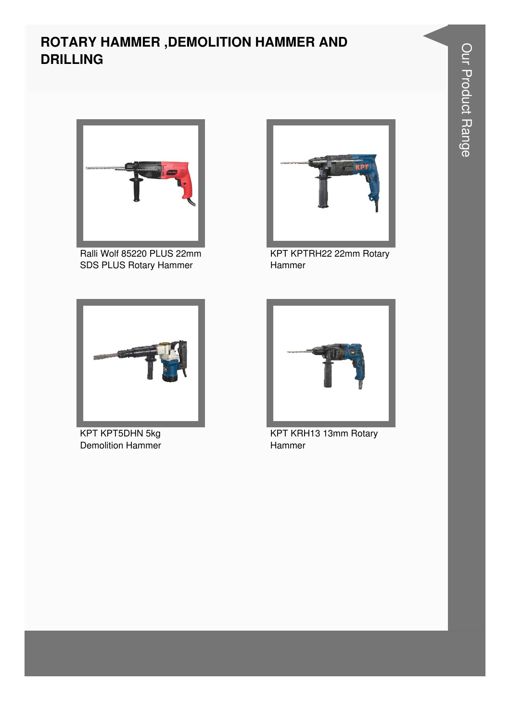#### **ROTARY HAMMER ,DEMOLITION HAMMER AND DRILLING**



Ralli Wolf 85220 PLUS 22mm SDS PLUS Rotary Hammer



KPT KPT5DHN 5kg Demolition Hammer



KPT KPTRH22 22mm Rotary Hammer



KPT KRH13 13mm Rotary Hammer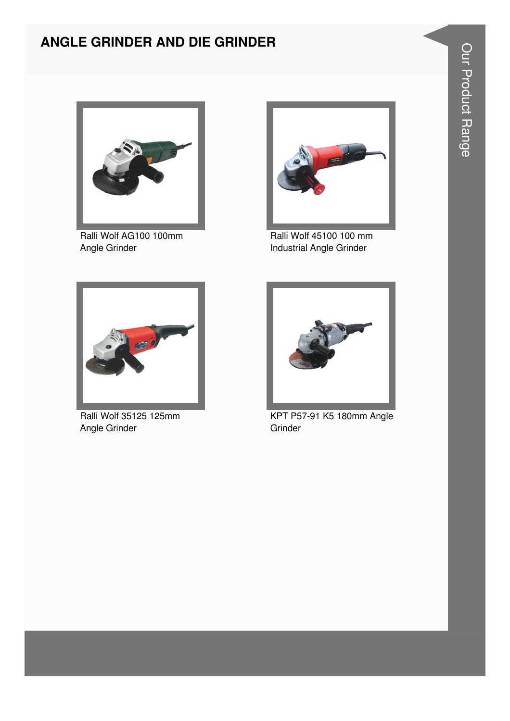#### **ANGLE GRINDER AND DIE GRINDER**



Ralli Wolf AG100 100mm Angle Grinder



Ralli Wolf 45100 100 mm Industrial Angle Grinder



Ralli Wolf 35125 125mm Angle Grinder



KPT P57-91 K5 180mm Angle Grinder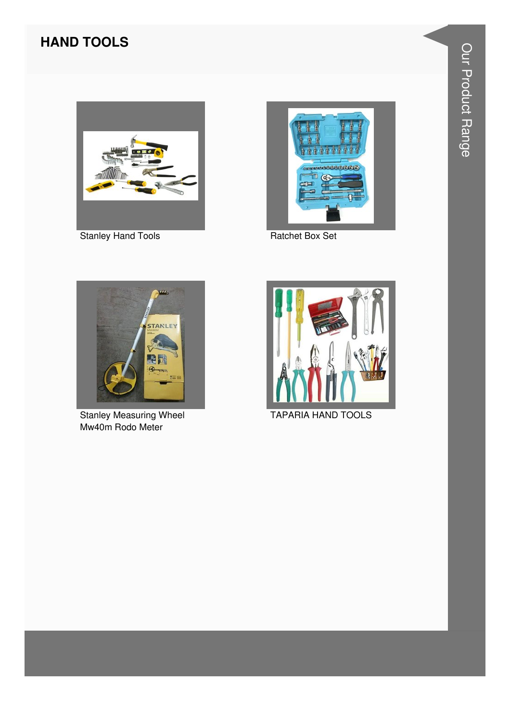# **HAND TOOLS**



**Stanley Hand Tools** 



Ratchet Box Set



**Stanley Measuring Wheel** Mw40m Rodo Meter



**TAPARIA HAND TOOLS**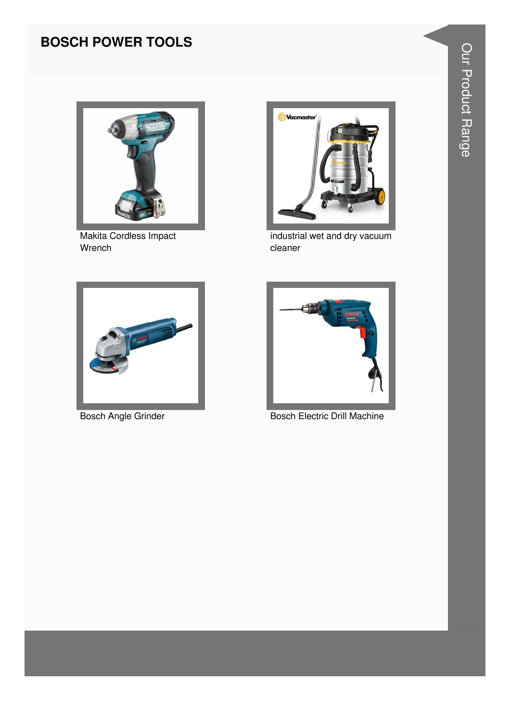## **BOSCH POWER TOOLS**



Makita Cordless Impact Wrench



industrial wet and dry vacuum cleaner



**Bosch Angle Grinder** 



**Bosch Electric Drill Machine**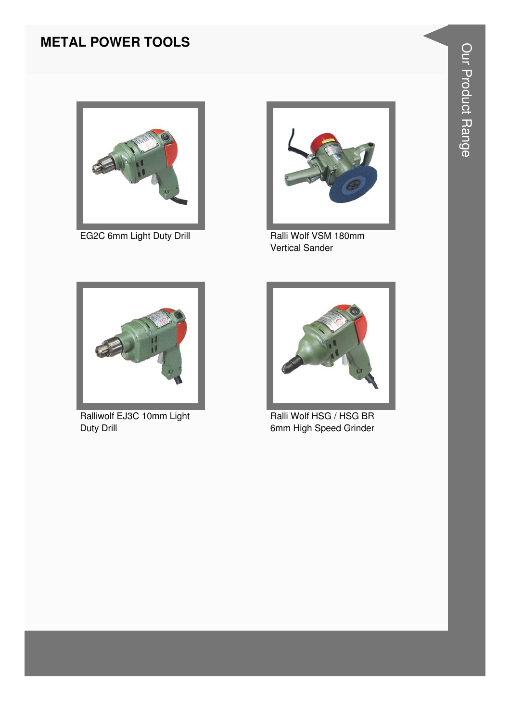#### **METAL POWER TOOLS**



EG2C 6mm Light Duty Drill **Ralli Wolf VSM 180mm** 



Vertical Sander



Ralliwolf EJ3C 10mm Light Duty Drill



Ralli Wolf HSG / HSG BR 6mm High Speed Grinder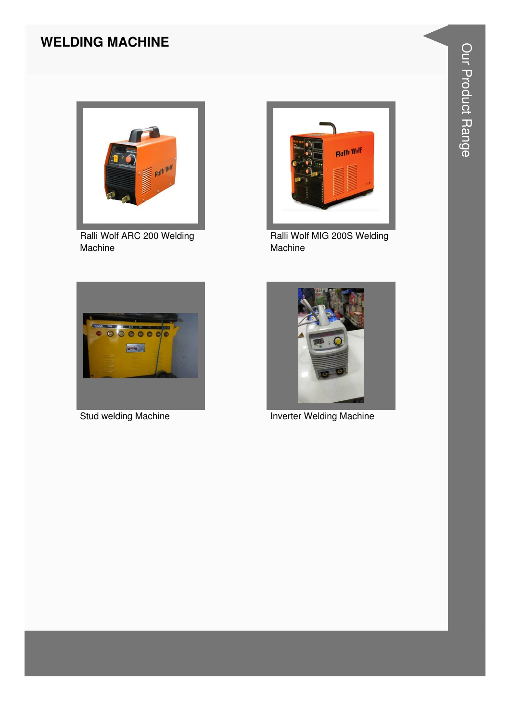#### **WELDING MACHINE**



Ralli Wolf ARC 200 Welding Machine



Ralli Wolf MIG 200S Welding Machine



Stud welding Machine



**Inverter Welding Machine**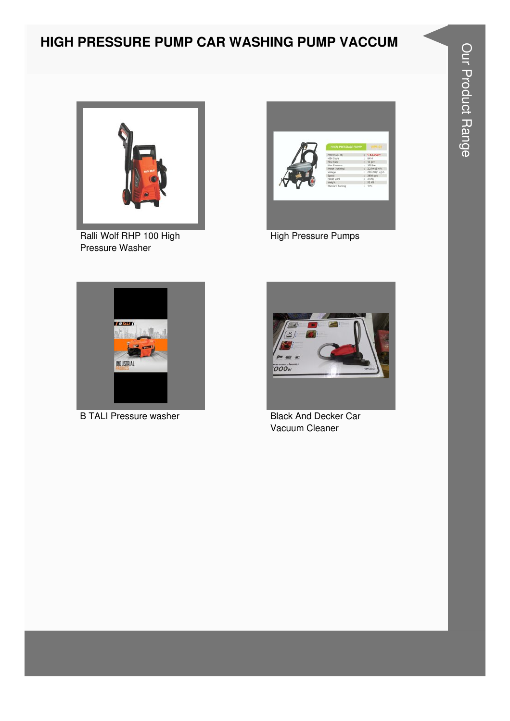# HIGH PRESSURE PUMP CAR WASHING PUMP VACCUM



Ralli Wolf RHP 100 High Pressure Washer



**High Pressure Pumps** 



**B TALI Pressure washer** 



**Black And Decker Car** Vacuum Cleaner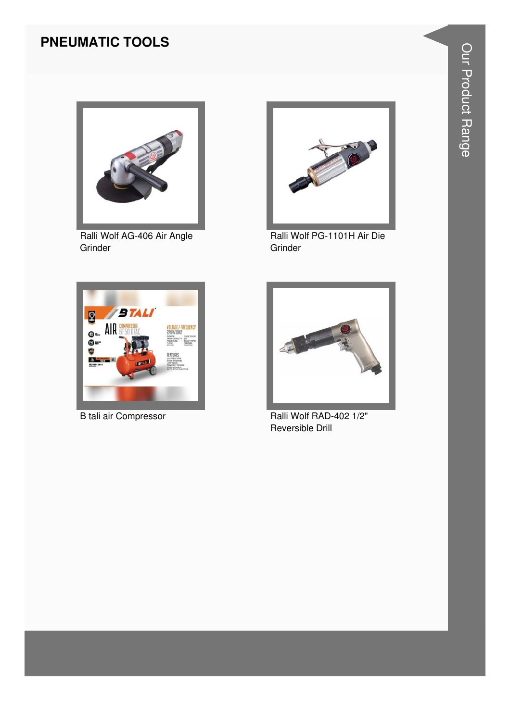#### **PNEUMATIC TOOLS**



Ralli Wolf AG-406 Air Angle Grinder



Ralli Wolf PG-1101H Air Die Grinder



B tali air Compressor



Ralli Wolf RAD-402 1/2" Reversible Drill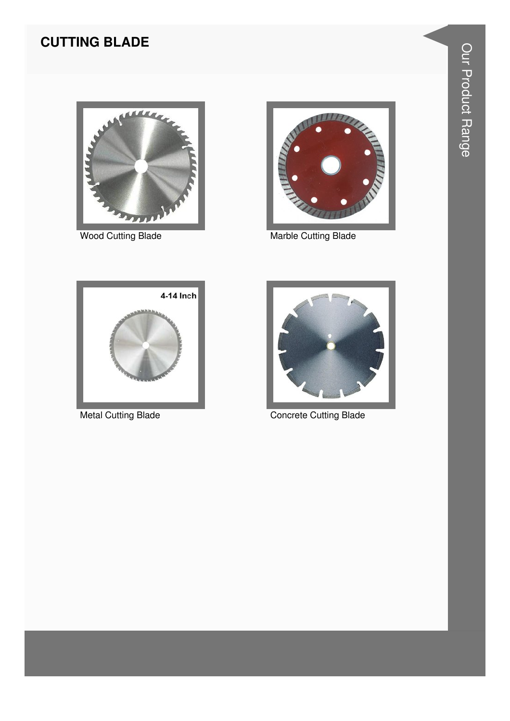# **CUTTING BLADE**



**Wood Cutting Blade** 



Marble Cutting Blade



**Metal Cutting Blade** 



**Concrete Cutting Blade**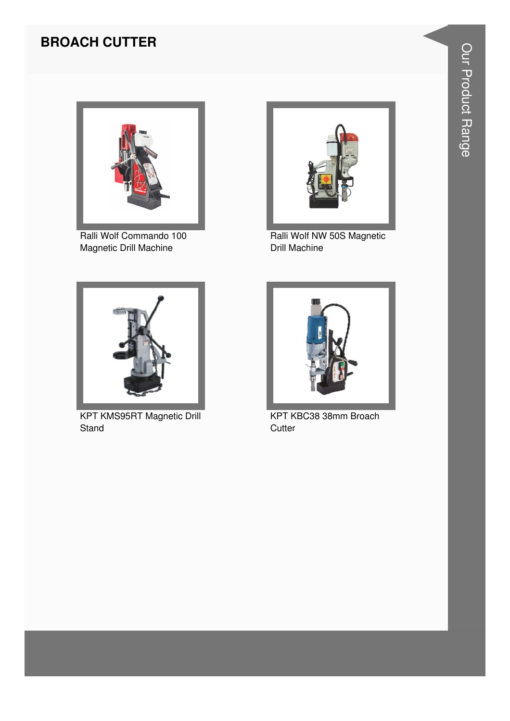## **BROACH CUTTER**



Ralli Wolf Commando 100 Magnetic Drill Machine



Ralli Wolf NW 50S Magnetic Drill Machine



KPT KMS95RT Magnetic Drill **Stand** 



KPT KBC38 38mm Broach **Cutter**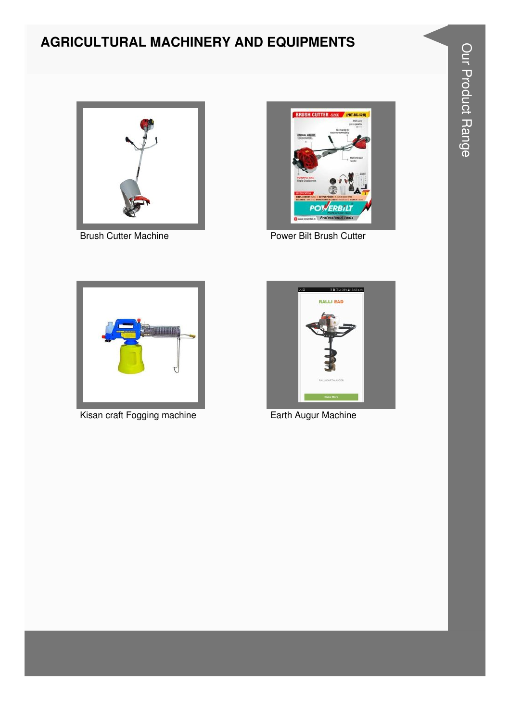# **AGRICULTURAL MACHINERY AND EQUIPMENTS**



**Brush Cutter Machine** 



Power Bilt Brush Cutter



Kisan craft Fogging machine



Earth Augur Machine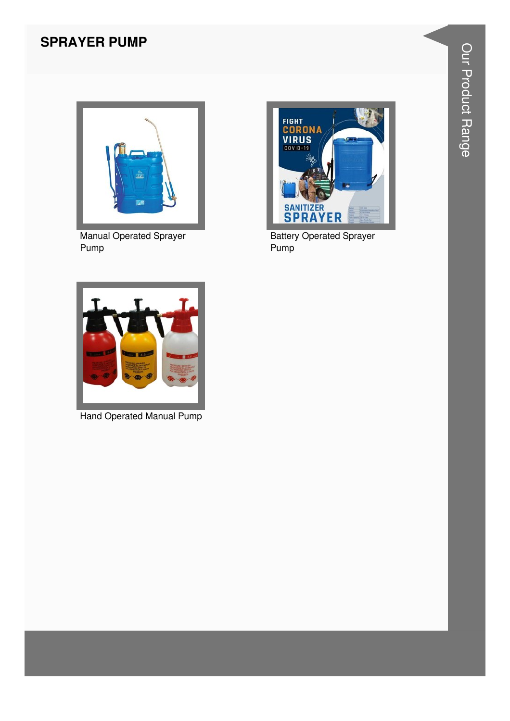#### **SPRAYER PUMP**



**Manual Operated Sprayer** Pump



**Battery Operated Sprayer** Pump<sup>1</sup>



**Hand Operated Manual Pump**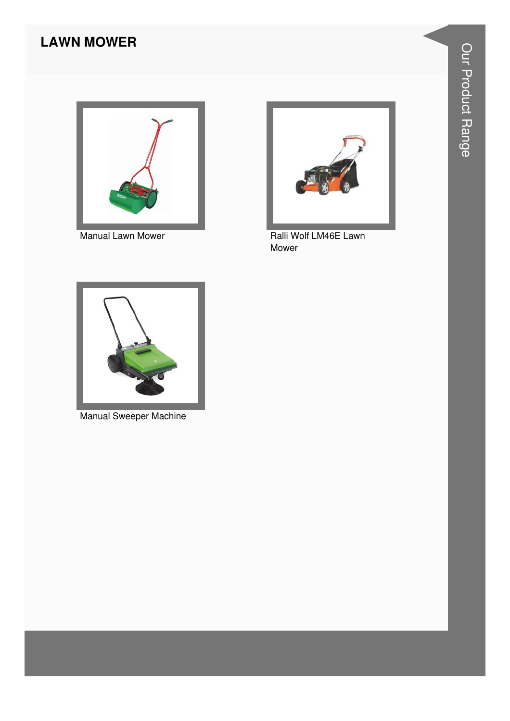# **LAWN MOWER**



Manual Lawn Mower



Ralli Wolf LM46E Lawn Mower



**Manual Sweeper Machine**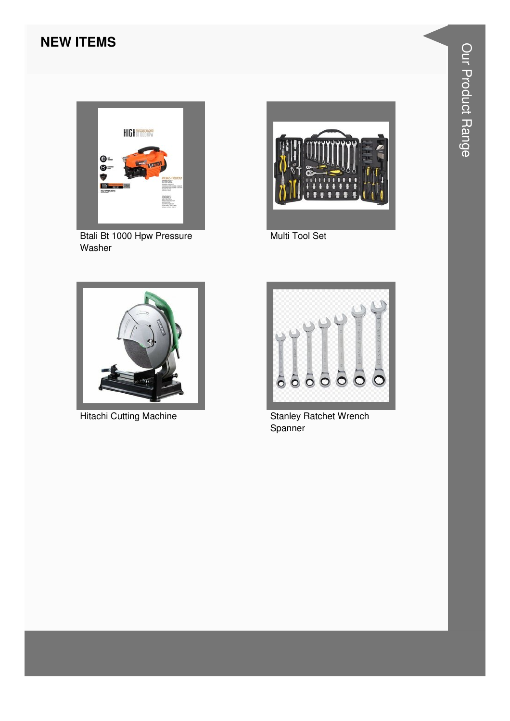#### **NEW ITEMS**



**Btali Bt 1000 Hpw Pressure** Washer



Multi Tool Set



**Hitachi Cutting Machine** 



**Stanley Ratchet Wrench** Spanner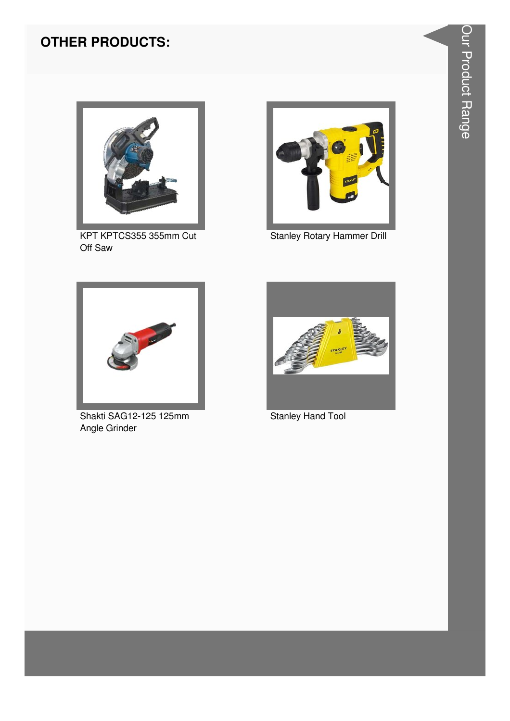

KPT KPTCS355 355mm Cut Off Saw



**Stanley Rotary Hammer Drill** 



Shakti SAG12-125 125mm Angle Grinder



**Stanley Hand Tool**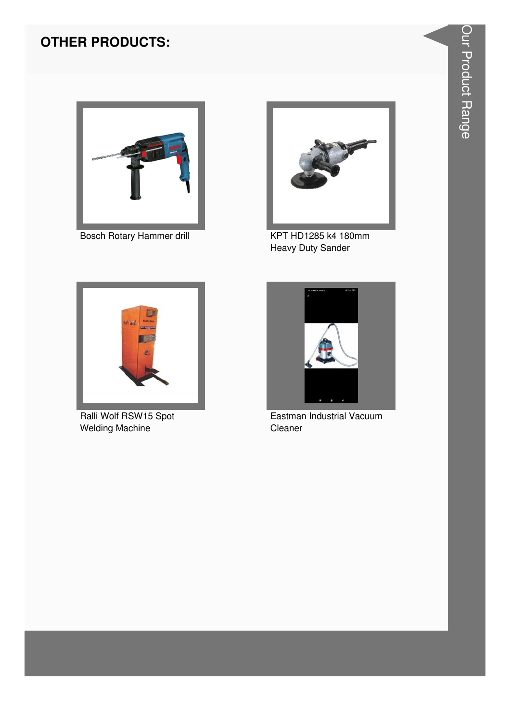

Bosch Rotary Hammer drill



KPT HD1285 k4 180mm **Heavy Duty Sander** 



Ralli Wolf RSW15 Spot **Welding Machine** 



Eastman Industrial Vacuum Cleaner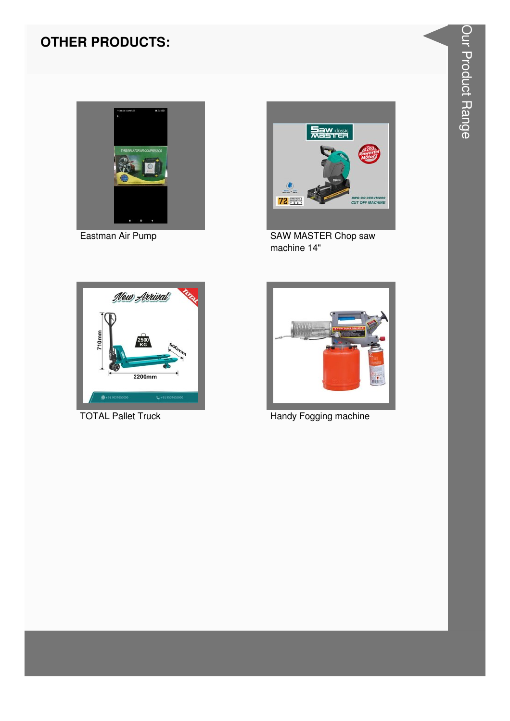

Eastman Air Pump



**SAW MASTER Chop saw** machine 14"



**TOTAL Pallet Truck** 



Handy Fogging machine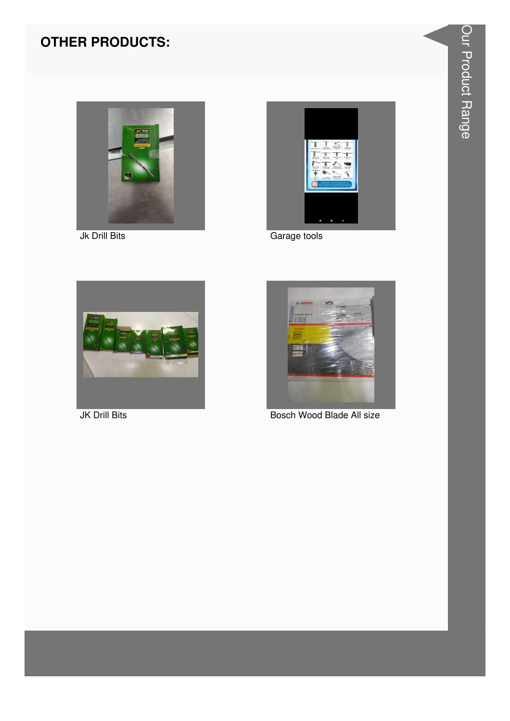

Jk Drill Bits



Garage tools



**JK Drill Bits** 



Bosch Wood Blade All size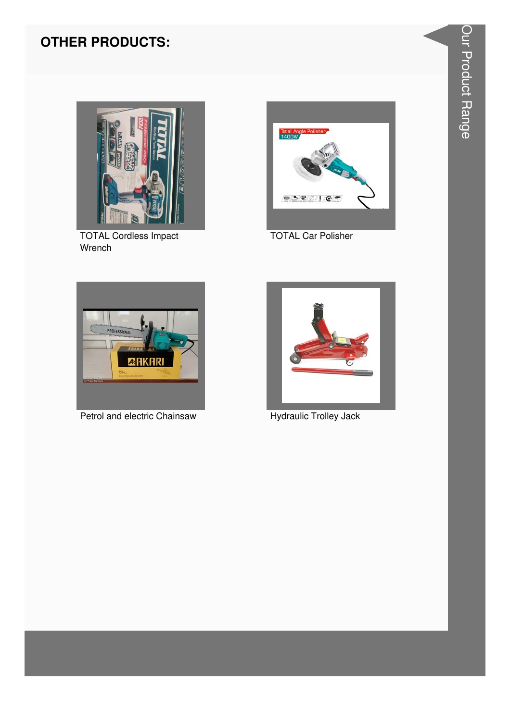

**TOTAL Cordless Impact** Wrench



**TOTAL Car Polisher** 



Petrol and electric Chainsaw



Hydraulic Trolley Jack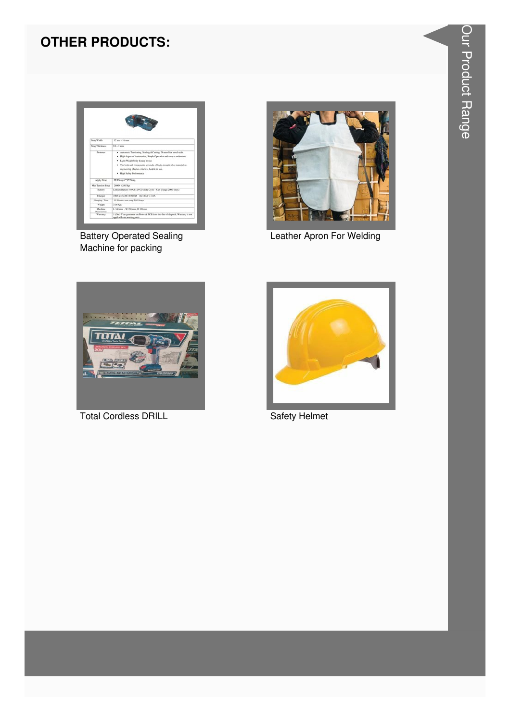

**Battery Operated Sealing** Machine for packing



Leather Apron For Welding



**Total Cordless DRILL** 



**Safety Helmet**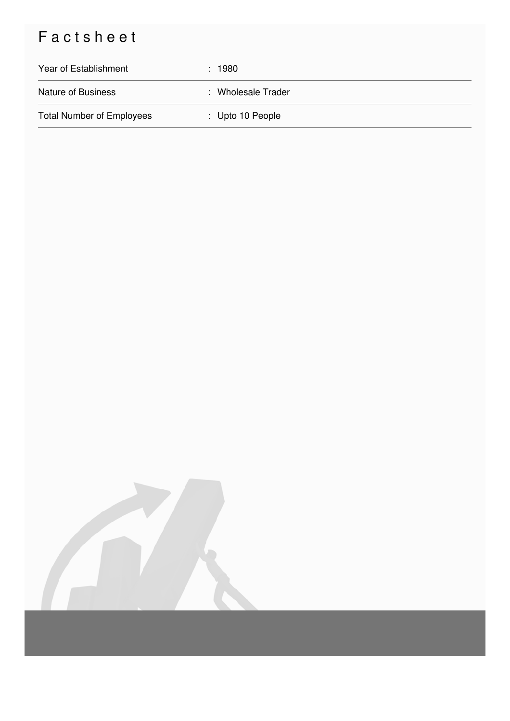# Factsheet

| Year of Establishment            | : 1980                      |
|----------------------------------|-----------------------------|
| <b>Nature of Business</b>        | : Wholesale Trader          |
| <b>Total Number of Employees</b> | $\therefore$ Upto 10 People |